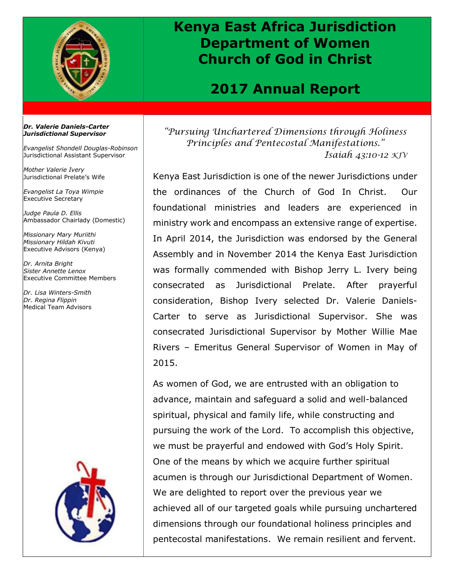

## **Kenya East Africa Jurisdiction Department of Women Church of God in Christ**

## **2017 Annual Report**

## *Dr. Valerie Daniels-Carter Jurisdictional Supervisor*

*Evangelist Shondell Douglas-Robinson* Jurisdictional Assistant Supervisor

*Mother Valerie Ivery* Jurisdictional Prelate's Wife

*Evangelist La Toya Wimpie* Executive Secretary

*Judge Paula D. Ellis* Ambassador Chairlady (Domestic)

*Missionary Mary Muriithi Missionary Hildah Kivuti* Executive Advisors (Kenya)

*Dr. Arnita Bright Sister Annette Lenox* Executive Committee Members

*Dr. Lisa Winters-Smith Dr. Regina Flippin* Medical Team Advisors



*"Pursuing Unchartered Dimensions through Holiness Principles and Pentecostal Manifestations." Isaiah 43:10-12 KJV*

Kenya East Jurisdiction is one of the newer Jurisdictions under the ordinances of the Church of God In Christ. Our foundational ministries and leaders are experienced in ministry work and encompass an extensive range of expertise. In April 2014, the Jurisdiction was endorsed by the General Assembly and in November 2014 the Kenya East Jurisdiction was formally commended with Bishop Jerry L. Ivery being consecrated as Jurisdictional Prelate. After prayerful consideration, Bishop Ivery selected Dr. Valerie Daniels-Carter to serve as Jurisdictional Supervisor. She was consecrated Jurisdictional Supervisor by Mother Willie Mae Rivers – Emeritus General Supervisor of Women in May of 2015.

As women of God, we are entrusted with an obligation to advance, maintain and safeguard a solid and well-balanced spiritual, physical and family life, while constructing and pursuing the work of the Lord. To accomplish this objective, we must be prayerful and endowed with God's Holy Spirit. One of the means by which we acquire further spiritual acumen is through our Jurisdictional Department of Women. We are delighted to report over the previous year we achieved all of our targeted goals while pursuing unchartered dimensions through our foundational holiness principles and pentecostal manifestations. We remain resilient and fervent.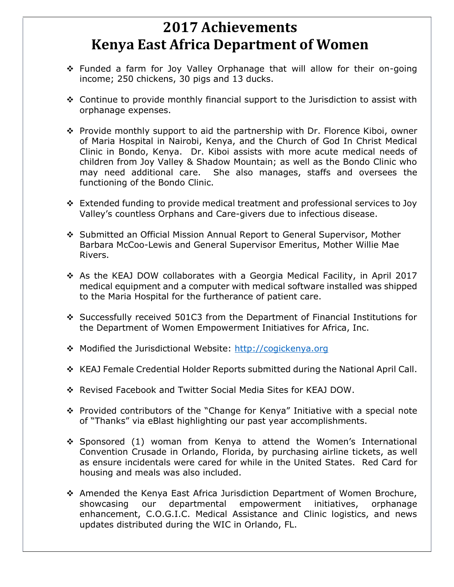## **2017 Achievements Kenya East Africa Department of Women**

- ❖ Funded a farm for Joy Valley Orphanage that will allow for their on-going income; 250 chickens, 30 pigs and 13 ducks.
- ❖ Continue to provide monthly financial support to the Jurisdiction to assist with orphanage expenses.
- ❖ Provide monthly support to aid the partnership with Dr. Florence Kiboi, owner of Maria Hospital in Nairobi, Kenya, and the Church of God In Christ Medical Clinic in Bondo, Kenya. Dr. Kiboi assists with more acute medical needs of children from Joy Valley & Shadow Mountain; as well as the Bondo Clinic who may need additional care. She also manages, staffs and oversees the functioning of the Bondo Clinic.
- ❖ Extended funding to provide medical treatment and professional services to Joy Valley's countless Orphans and Care-givers due to infectious disease.
- ❖ Submitted an Official Mission Annual Report to General Supervisor, Mother Barbara McCoo-Lewis and General Supervisor Emeritus, Mother Willie Mae Rivers.
- ❖ As the KEAJ DOW collaborates with a Georgia Medical Facility, in April 2017 medical equipment and a computer with medical software installed was shipped to the Maria Hospital for the furtherance of patient care.
- ❖ Successfully received 501C3 from the Department of Financial Institutions for the Department of Women Empowerment Initiatives for Africa, Inc.
- ❖ Modified the Jurisdictional Website: [http://cogickenya.org](http://cogickenya.org/)
- ❖ KEAJ Female Credential Holder Reports submitted during the National April Call.
- ❖ Revised Facebook and Twitter Social Media Sites for KEAJ DOW.
- ❖ Provided contributors of the "Change for Kenya" Initiative with a special note of "Thanks" via eBlast highlighting our past year accomplishments.
- ❖ Sponsored (1) woman from Kenya to attend the Women's International Convention Crusade in Orlando, Florida, by purchasing airline tickets, as well as ensure incidentals were cared for while in the United States. Red Card for housing and meals was also included.
- ❖ Amended the Kenya East Africa Jurisdiction Department of Women Brochure, showcasing our departmental empowerment initiatives, orphanage enhancement, C.O.G.I.C. Medical Assistance and Clinic logistics, and news updates distributed during the WIC in Orlando, FL.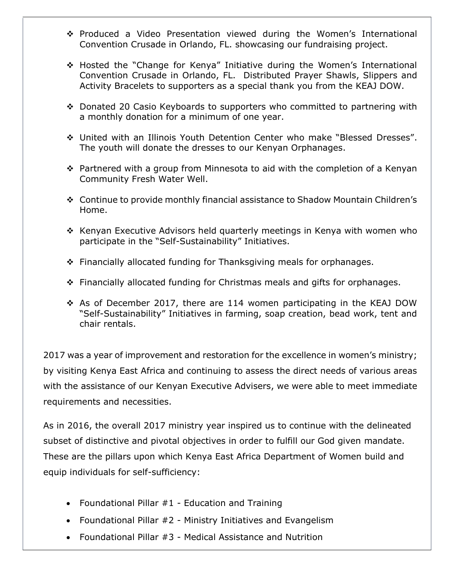- ❖ Produced a Video Presentation viewed during the Women's International Convention Crusade in Orlando, FL. showcasing our fundraising project.
- ❖ Hosted the "Change for Kenya" Initiative during the Women's International Convention Crusade in Orlando, FL. Distributed Prayer Shawls, Slippers and Activity Bracelets to supporters as a special thank you from the KEAJ DOW.
- ❖ Donated 20 Casio Keyboards to supporters who committed to partnering with a monthly donation for a minimum of one year.
- ❖ United with an Illinois Youth Detention Center who make "Blessed Dresses". The youth will donate the dresses to our Kenyan Orphanages.
- ❖ Partnered with a group from Minnesota to aid with the completion of a Kenyan Community Fresh Water Well.
- ❖ Continue to provide monthly financial assistance to Shadow Mountain Children's Home.
- ❖ Kenyan Executive Advisors held quarterly meetings in Kenya with women who participate in the "Self-Sustainability" Initiatives.
- ❖ Financially allocated funding for Thanksgiving meals for orphanages.
- ❖ Financially allocated funding for Christmas meals and gifts for orphanages.
- ❖ As of December 2017, there are 114 women participating in the KEAJ DOW "Self-Sustainability" Initiatives in farming, soap creation, bead work, tent and chair rentals.

2017 was a year of improvement and restoration for the excellence in women's ministry; by visiting Kenya East Africa and continuing to assess the direct needs of various areas with the assistance of our Kenyan Executive Advisers, we were able to meet immediate requirements and necessities.

As in 2016, the overall 2017 ministry year inspired us to continue with the delineated subset of distinctive and pivotal objectives in order to fulfill our God given mandate. These are the pillars upon which Kenya East Africa Department of Women build and equip individuals for self-sufficiency:

- Foundational Pillar #1 Education and Training
- Foundational Pillar #2 Ministry Initiatives and Evangelism
- Foundational Pillar #3 Medical Assistance and Nutrition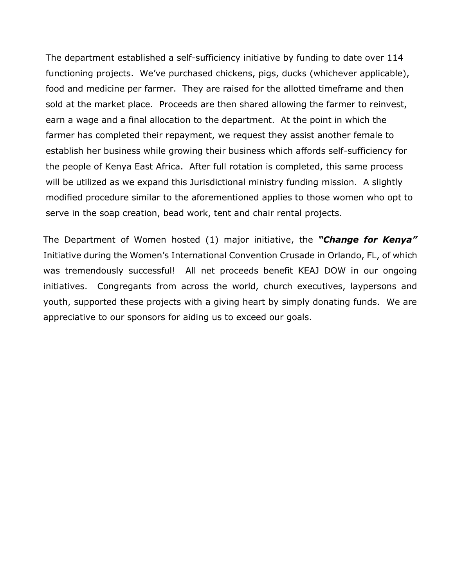The department established a self-sufficiency initiative by funding to date over 114 functioning projects. We've purchased chickens, pigs, ducks (whichever applicable), food and medicine per farmer. They are raised for the allotted timeframe and then sold at the market place. Proceeds are then shared allowing the farmer to reinvest, earn a wage and a final allocation to the department. At the point in which the farmer has completed their repayment, we request they assist another female to establish her business while growing their business which affords self-sufficiency for the people of Kenya East Africa. After full rotation is completed, this same process will be utilized as we expand this Jurisdictional ministry funding mission. A slightly modified procedure similar to the aforementioned applies to those women who opt to serve in the soap creation, bead work, tent and chair rental projects.

The Department of Women hosted (1) major initiative, the *"Change for Kenya"* Initiative during the Women's International Convention Crusade in Orlando, FL, of which was tremendously successful! All net proceeds benefit KEAJ DOW in our ongoing initiatives. Congregants from across the world, church executives, laypersons and youth, supported these projects with a giving heart by simply donating funds. We are appreciative to our sponsors for aiding us to exceed our goals.